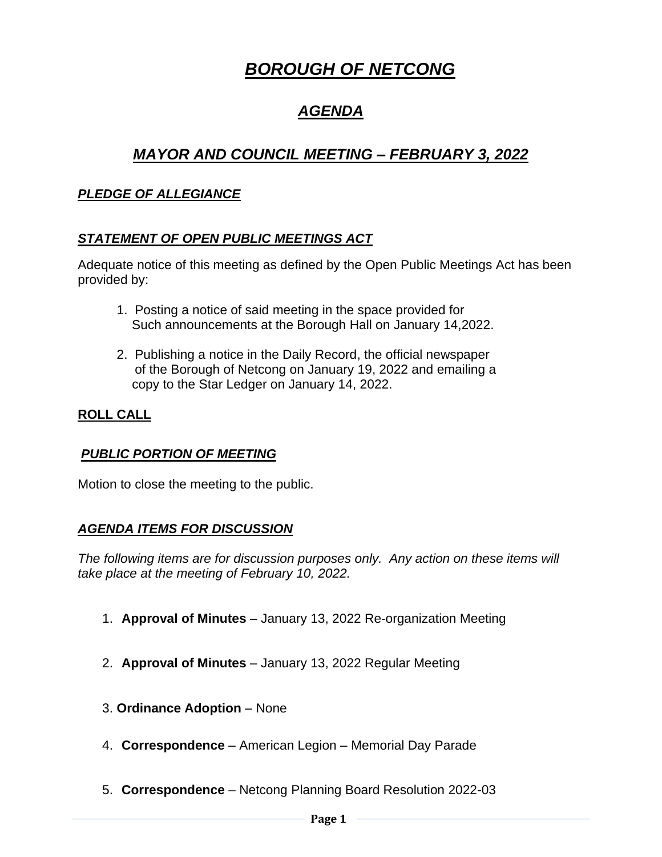# *BOROUGH OF NETCONG*

# *AGENDA*

# *MAYOR AND COUNCIL MEETING – FEBRUARY 3, 2022*

# *PLEDGE OF ALLEGIANCE*

# *STATEMENT OF OPEN PUBLIC MEETINGS ACT*

Adequate notice of this meeting as defined by the Open Public Meetings Act has been provided by:

- 1. Posting a notice of said meeting in the space provided for Such announcements at the Borough Hall on January 14,2022.
- 2. Publishing a notice in the Daily Record, the official newspaper of the Borough of Netcong on January 19, 2022 and emailing a copy to the Star Ledger on January 14, 2022.

# **ROLL CALL**

#### *PUBLIC PORTION OF MEETING*

Motion to close the meeting to the public.

#### *AGENDA ITEMS FOR DISCUSSION*

*The following items are for discussion purposes only. Any action on these items will take place at the meeting of February 10, 2022.* 

- 1. **Approval of Minutes** January 13, 2022 Re-organization Meeting
- 2. **Approval of Minutes** January 13, 2022 Regular Meeting
- 3. **Ordinance Adoption** None
- 4. **Correspondence** American Legion Memorial Day Parade
- 5. **Correspondence** Netcong Planning Board Resolution 2022-03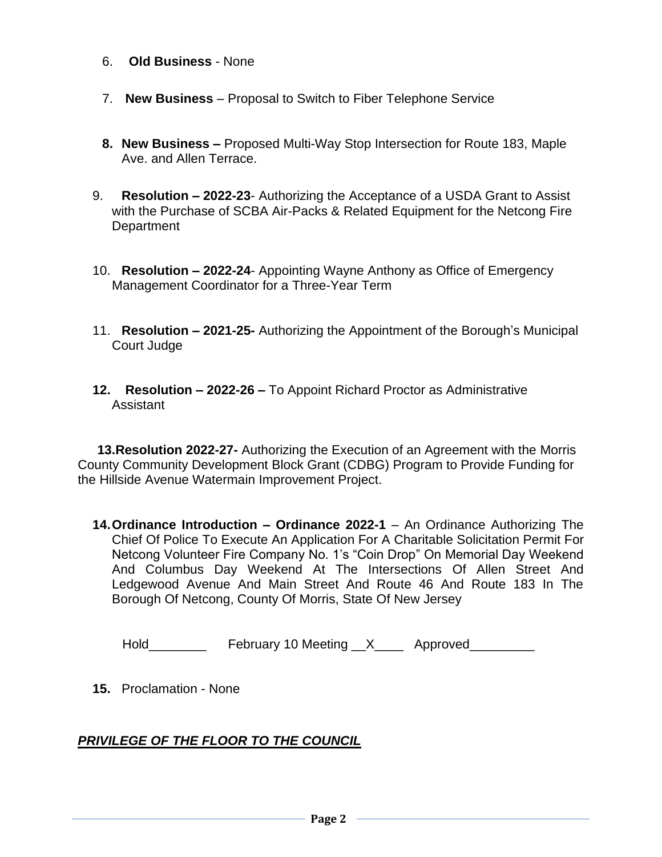- 6. **Old Business** None
- 7. **New Business** Proposal to Switch to Fiber Telephone Service
- **8. New Business –** Proposed Multi-Way Stop Intersection for Route 183, Maple Ave. and Allen Terrace.
- 9. **Resolution – 2022-23** Authorizing the Acceptance of a USDA Grant to Assist with the Purchase of SCBA Air-Packs & Related Equipment for the Netcong Fire **Department**
- 10. **Resolution – 2022-24** Appointing Wayne Anthony as Office of Emergency Management Coordinator for a Three-Year Term
- 11. **Resolution – 2021-25-** Authorizing the Appointment of the Borough's Municipal Court Judge
- **12. Resolution – 2022-26 –** To Appoint Richard Proctor as Administrative Assistant

**13.Resolution 2022-27-** Authorizing the Execution of an Agreement with the Morris County Community Development Block Grant (CDBG) Program to Provide Funding for the Hillside Avenue Watermain Improvement Project.

**14.Ordinance Introduction – Ordinance 2022-1** – An Ordinance Authorizing The Chief Of Police To Execute An Application For A Charitable Solicitation Permit For Netcong Volunteer Fire Company No. 1's "Coin Drop" On Memorial Day Weekend And Columbus Day Weekend At The Intersections Of Allen Street And Ledgewood Avenue And Main Street And Route 46 And Route 183 In The Borough Of Netcong, County Of Morris, State Of New Jersey

| Hold | February 10 Meeting |  | Approved |
|------|---------------------|--|----------|
|------|---------------------|--|----------|

**15.** Proclamation - None

#### *PRIVILEGE OF THE FLOOR TO THE COUNCIL*